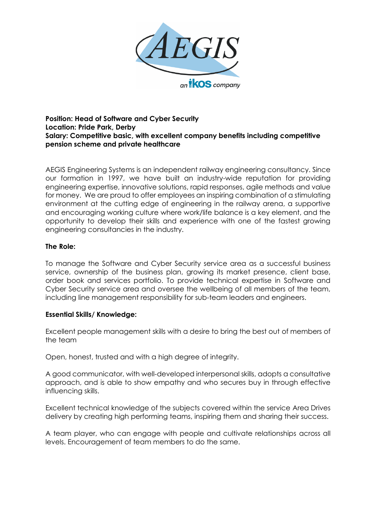

### **Position: Head of Software and Cyber Security Location: Pride Park, Derby Salary: Competitive basic, with excellent company benefits including competitive pension scheme and private healthcare**

AEGIS Engineering Systems is an independent railway engineering consultancy. Since our formation in 1997, we have built an industry-wide reputation for providing engineering expertise, innovative solutions, rapid responses, agile methods and value for money. We are proud to offer employees an inspiring combination of a stimulating environment at the cutting edge of engineering in the railway arena, a supportive and encouraging working culture where work/life balance is a key element, and the opportunity to develop their skills and experience with one of the fastest growing engineering consultancies in the industry.

### **The Role:**

To manage the Software and Cyber Security service area as a successful business service, ownership of the business plan, growing its market presence, client base, order book and services portfolio. To provide technical expertise in Software and Cyber Security service area and oversee the wellbeing of all members of the team, including line management responsibility for sub-team leaders and engineers.

# **Essential Skills/ Knowledge:**

Excellent people management skills with a desire to bring the best out of members of the team

Open, honest, trusted and with a high degree of integrity.

A good communicator, with well-developed interpersonal skills, adopts a consultative approach, and is able to show empathy and who secures buy in through effective influencing skills.

Excellent technical knowledge of the subjects covered within the service Area Drives delivery by creating high performing teams, inspiring them and sharing their success.

A team player, who can engage with people and cultivate relationships across all levels. Encouragement of team members to do the same.